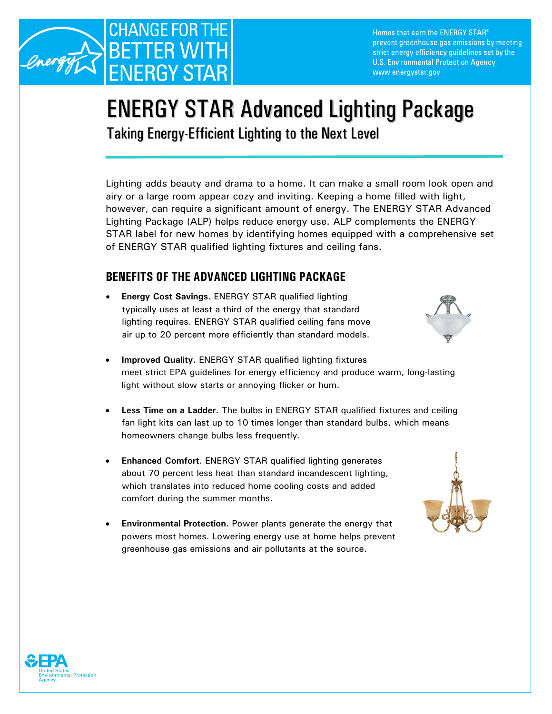

Homes that earn the ENERGY STAR® prevent greenhouse gas emissions by meeting strict energy efficiency guidelines set by the U.S. Environmental Protection Agency. www.energystar.gov

## ENERGY STAR Advanced Lighting Package

Taking Energy-Efficient Lighting to the Next Level

Lighting adds beauty and drama to a home. It can make a small room look open and airy or a large room appear cozy and inviting. Keeping a home filled with light, however, can require a significant amount of energy. The ENERGY STAR Advanced Lighting Package (ALP) helps reduce energy use. ALP complements the ENERGY STAR label for new homes by identifying homes equipped with a comprehensive set of ENERGY STAR qualified lighting fixtures and ceiling fans.

## **BENEFITS OF THE ADVANCED LIGHTING PACKAGE**

- **Energy Cost Savings.** ENERGY STAR qualified lighting typically uses at least a third of the energy that standard lighting requires. ENERGY STAR qualified ceiling fans move air up to 20 percent more efficiently than standard models.
	- **Improved Quality.** ENERGY STAR qualified lighting fixtures meet strict EPA guidelines for energy efficiency and produce warm, long-lasting light without slow starts or annoying flicker or hum.
- **Less Time on a Ladder.** The bulbs in ENERGY STAR qualified fixtures and ceiling fan light kits can last up to 10 times longer than standard bulbs, which means homeowners change bulbs less frequently.
- **Enhanced Comfort**. ENERGY STAR qualified lighting generates about 70 percent less heat than standard incandescent lighting, which translates into reduced home cooling costs and added comfort during the summer months.
- **Environmental Protection.** Power plants generate the energy that powers most homes. Lowering energy use at home helps prevent greenhouse gas emissions and air pollutants at the source.